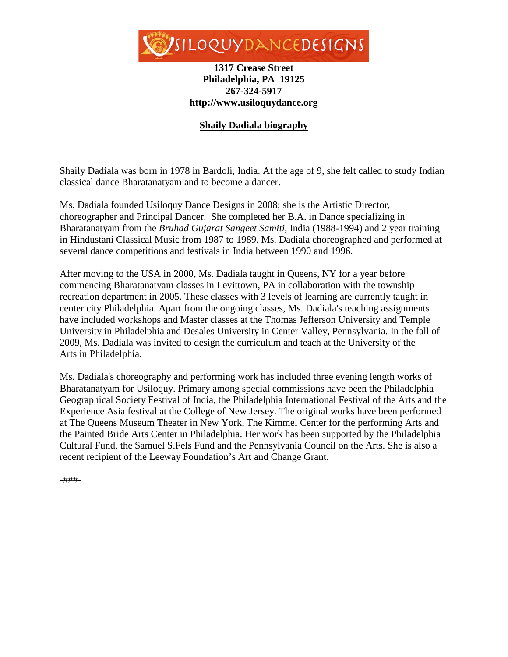

## **1317 Crease Street Philadelphia, PA 19125 267-324-5917 http://www.usiloquydance.org**

## **Shaily Dadiala biography**

Shaily Dadiala was born in 1978 in Bardoli, India. At the age of 9, she felt called to study Indian classical dance Bharatanatyam and to become a dancer.

Ms. Dadiala founded Usiloquy Dance Designs in 2008; she is the Artistic Director, choreographer and Principal Dancer. She completed her B.A. in Dance specializing in Bharatanatyam from the *Bruhad Gujarat Sangeet Samiti,* India (1988-1994) and 2 year training in Hindustani Classical Music from 1987 to 1989. Ms. Dadiala choreographed and performed at several dance competitions and festivals in India between 1990 and 1996.

After moving to the USA in 2000, Ms. Dadiala taught in Queens, NY for a year before commencing Bharatanatyam classes in Levittown, PA in collaboration with the township recreation department in 2005. These classes with 3 levels of learning are currently taught in center city Philadelphia. Apart from the ongoing classes, Ms. Dadiala's teaching assignments have included workshops and Master classes at the Thomas Jefferson University and Temple University in Philadelphia and Desales University in Center Valley, Pennsylvania. In the fall of 2009, Ms. Dadiala was invited to design the curriculum and teach at the University of the Arts in Philadelphia.

Ms. Dadiala's choreography and performing work has included three evening length works of Bharatanatyam for Usiloquy. Primary among special commissions have been the Philadelphia Geographical Society Festival of India, the Philadelphia International Festival of the Arts and the Experience Asia festival at the College of New Jersey. The original works have been performed at The Queens Museum Theater in New York, The Kimmel Center for the performing Arts and the Painted Bride Arts Center in Philadelphia. Her work has been supported by the Philadelphia Cultural Fund, the Samuel S.Fels Fund and the Pennsylvania Council on the Arts. She is also a recent recipient of the Leeway Foundation's Art and Change Grant.

-###-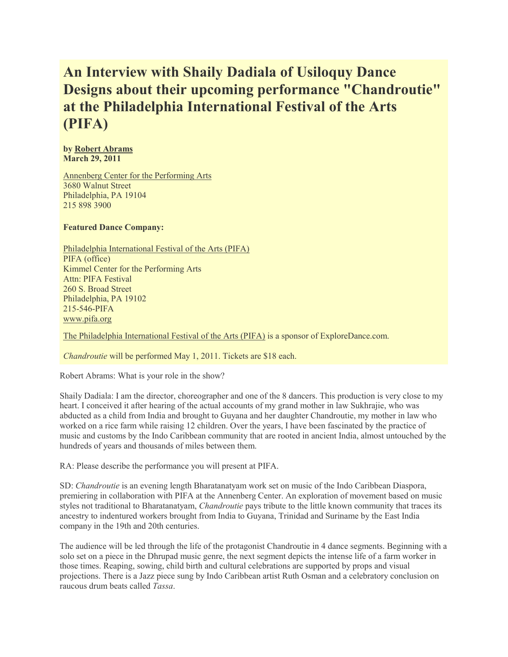# **An Interview with Shaily Dadiala of Usiloquy Dance Designs about their upcoming performance "Chandroutie" at the Philadelphia International Festival of the Arts (PIFA)**

**by [Robert Abrams](http://www.exploredance.com/list.htm?sid=152&s=author) March 29, 2011**

[Annenberg Center for the Performing Arts](http://www.pennpresents.org/) 3680 Walnut Street Philadelphia, PA 19104 215 898 3900

### **Featured Dance Company:**

[Philadelphia International Festival of the Arts \(PIFA\)](http://www.pifa.org/) PIFA (office) Kimmel Center for the Performing Arts Attn: PIFA Festival 260 S. Broad Street Philadelphia, PA 19102 215-546-PIFA [www.pifa.org](http://www.pifa.org/)

[The Philadelphia International Festival of the Arts \(PIFA\)](http://www.pifa.org/) is a sponsor of ExploreDance.com.

*Chandroutie* will be performed May 1, 2011. Tickets are \$18 each.

Robert Abrams: What is your role in the show?

Shaily Dadiala: I am the director, choreographer and one of the 8 dancers. This production is very close to my heart. I conceived it after hearing of the actual accounts of my grand mother in law Sukhrajie, who was abducted as a child from India and brought to Guyana and her daughter Chandroutie, my mother in law who worked on a rice farm while raising 12 children. Over the years, I have been fascinated by the practice of music and customs by the Indo Caribbean community that are rooted in ancient India, almost untouched by the hundreds of years and thousands of miles between them.

RA: Please describe the performance you will present at PIFA.

SD: *Chandroutie* is an evening length Bharatanatyam work set on music of the Indo Caribbean Diaspora, premiering in collaboration with PIFA at the Annenberg Center. An exploration of movement based on music styles not traditional to Bharatanatyam, *Chandroutie* pays tribute to the little known community that traces its ancestry to indentured workers brought from India to Guyana, Trinidad and Suriname by the East India company in the 19th and 20th centuries.

The audience will be led through the life of the protagonist Chandroutie in 4 dance segments. Beginning with a solo set on a piece in the Dhrupad music genre, the next segment depicts the intense life of a farm worker in those times. Reaping, sowing, child birth and cultural celebrations are supported by props and visual projections. There is a Jazz piece sung by Indo Caribbean artist Ruth Osman and a celebratory conclusion on raucous drum beats called *Tassa*.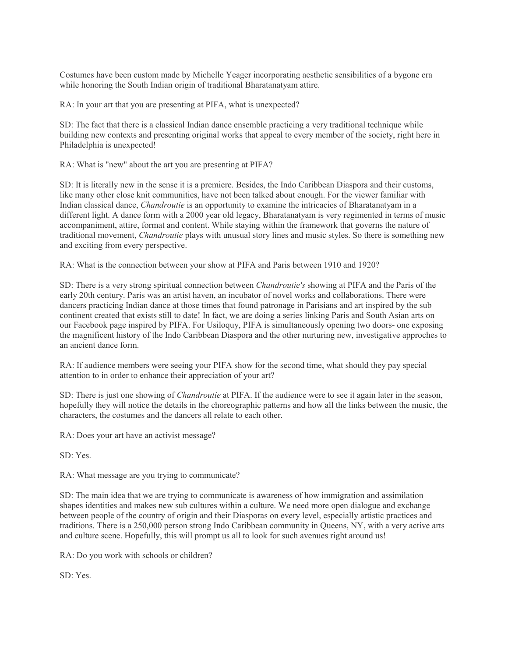Costumes have been custom made by Michelle Yeager incorporating aesthetic sensibilities of a bygone era while honoring the South Indian origin of traditional Bharatanatyam attire.

RA: In your art that you are presenting at PIFA, what is unexpected?

SD: The fact that there is a classical Indian dance ensemble practicing a very traditional technique while building new contexts and presenting original works that appeal to every member of the society, right here in Philadelphia is unexpected!

RA: What is "new" about the art you are presenting at PIFA?

SD: It is literally new in the sense it is a premiere. Besides, the Indo Caribbean Diaspora and their customs, like many other close knit communities, have not been talked about enough. For the viewer familiar with Indian classical dance, *Chandroutie* is an opportunity to examine the intricacies of Bharatanatyam in a different light. A dance form with a 2000 year old legacy, Bharatanatyam is very regimented in terms of music accompaniment, attire, format and content. While staying within the framework that governs the nature of traditional movement, *Chandroutie* plays with unusual story lines and music styles. So there is something new and exciting from every perspective.

RA: What is the connection between your show at PIFA and Paris between 1910 and 1920?

SD: There is a very strong spiritual connection between *Chandroutie's* showing at PIFA and the Paris of the early 20th century. Paris was an artist haven, an incubator of novel works and collaborations. There were dancers practicing Indian dance at those times that found patronage in Parisians and art inspired by the sub continent created that exists still to date! In fact, we are doing a series linking Paris and South Asian arts on our Facebook page inspired by PIFA. For Usiloquy, PIFA is simultaneously opening two doors- one exposing the magnificent history of the Indo Caribbean Diaspora and the other nurturing new, investigative approches to an ancient dance form.

RA: If audience members were seeing your PIFA show for the second time, what should they pay special attention to in order to enhance their appreciation of your art?

SD: There is just one showing of *Chandroutie* at PIFA. If the audience were to see it again later in the season, hopefully they will notice the details in the choreographic patterns and how all the links between the music, the characters, the costumes and the dancers all relate to each other.

RA: Does your art have an activist message?

SD: Yes.

RA: What message are you trying to communicate?

SD: The main idea that we are trying to communicate is awareness of how immigration and assimilation shapes identities and makes new sub cultures within a culture. We need more open dialogue and exchange between people of the country of origin and their Diasporas on every level, especially artistic practices and traditions. There is a 250,000 person strong Indo Caribbean community in Queens, NY, with a very active arts and culture scene. Hopefully, this will prompt us all to look for such avenues right around us!

RA: Do you work with schools or children?

SD: Yes.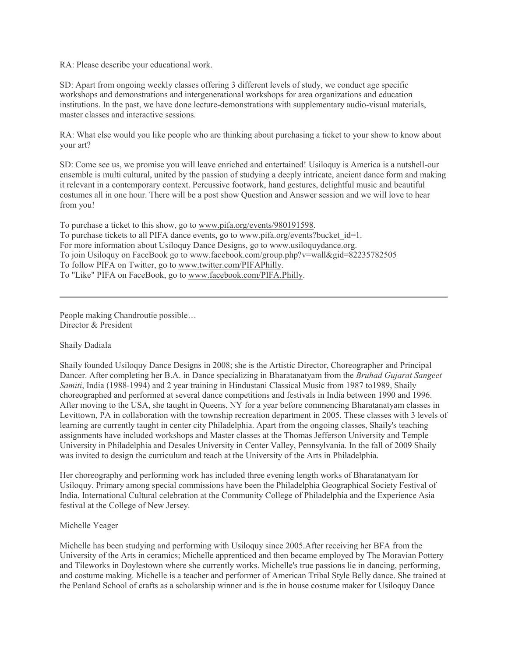RA: Please describe your educational work.

SD: Apart from ongoing weekly classes offering 3 different levels of study, we conduct age specific workshops and demonstrations and intergenerational workshops for area organizations and education institutions. In the past, we have done lecture-demonstrations with supplementary audio-visual materials, master classes and interactive sessions.

RA: What else would you like people who are thinking about purchasing a ticket to your show to know about your art?

SD: Come see us, we promise you will leave enriched and entertained! Usiloquy is America is a nutshell-our ensemble is multi cultural, united by the passion of studying a deeply intricate, ancient dance form and making it relevant in a contemporary context. Percussive footwork, hand gestures, delightful music and beautiful costumes all in one hour. There will be a post show Question and Answer session and we will love to hear from you!

To purchase a ticket to this show, go to [www.pifa.org/events/980191598.](http://www.pifa.org/events/980191598) To purchase tickets to all PIFA dance events, go t[o www.pifa.org/events?bucket\\_id=1.](http://www.pifa.org/events?bucket_id=1) For more information about Usiloquy Dance Designs, go to [www.usiloquydance.org.](http://www.usiloquydance.org/) To join Usiloquy on FaceBook go t[o www.facebook.com/group.php?v=wall&gid=82235782505](http://www.facebook.com/group.php?v=wall&gid=82235782505) To follow PIFA on Twitter, go to [www.twitter.com/PIFAPhilly.](http://www.twitter.com/PIFAPhilly) To "Like" PIFA on FaceBook, go to [www.facebook.com/PIFA.Philly.](http://www.facebook.com/PIFA.Philly)

People making Chandroutie possible… Director & President

Shaily Dadiala

Shaily founded Usiloquy Dance Designs in 2008; she is the Artistic Director, Choreographer and Principal Dancer. After completing her B.A. in Dance specializing in Bharatanatyam from the *Bruhad Gujarat Sangeet Samiti*, India (1988-1994) and 2 year training in Hindustani Classical Music from 1987 to1989, Shaily choreographed and performed at several dance competitions and festivals in India between 1990 and 1996. After moving to the USA, she taught in Queens, NY for a year before commencing Bharatanatyam classes in Levittown, PA in collaboration with the township recreation department in 2005. These classes with 3 levels of learning are currently taught in center city Philadelphia. Apart from the ongoing classes, Shaily's teaching assignments have included workshops and Master classes at the Thomas Jefferson University and Temple University in Philadelphia and Desales University in Center Valley, Pennsylvania. In the fall of 2009 Shaily was invited to design the curriculum and teach at the University of the Arts in Philadelphia.

Her choreography and performing work has included three evening length works of Bharatanatyam for Usiloquy. Primary among special commissions have been the Philadelphia Geographical Society Festival of India, International Cultural celebration at the Community College of Philadelphia and the Experience Asia festival at the College of New Jersey.

### Michelle Yeager

Michelle has been studying and performing with Usiloquy since 2005.After receiving her BFA from the University of the Arts in ceramics; Michelle apprenticed and then became employed by The Moravian Pottery and Tileworks in Doylestown where she currently works. Michelle's true passions lie in dancing, performing, and costume making. Michelle is a teacher and performer of American Tribal Style Belly dance. She trained at the Penland School of crafts as a scholarship winner and is the in house costume maker for Usiloquy Dance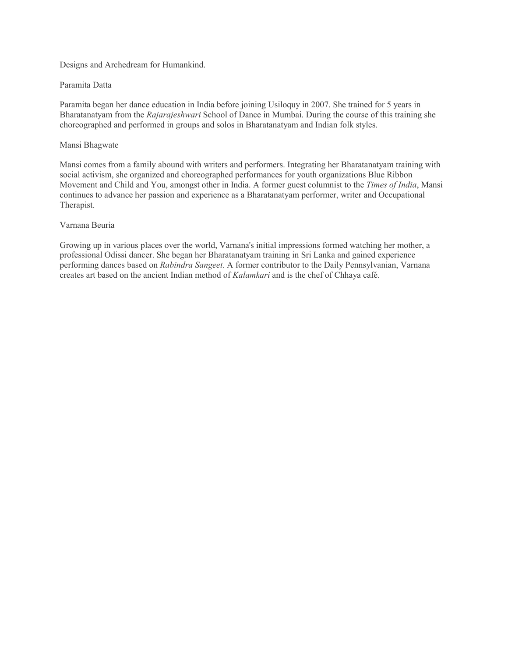### Designs and Archedream for Humankind.

### Paramita Datta

Paramita began her dance education in India before joining Usiloquy in 2007. She trained for 5 years in Bharatanatyam from the *Rajarajeshwari* School of Dance in Mumbai. During the course of this training she choreographed and performed in groups and solos in Bharatanatyam and Indian folk styles.

### Mansi Bhagwate

Mansi comes from a family abound with writers and performers. Integrating her Bharatanatyam training with social activism, she organized and choreographed performances for youth organizations Blue Ribbon Movement and Child and You, amongst other in India. A former guest columnist to the *Times of India*, Mansi continues to advance her passion and experience as a Bharatanatyam performer, writer and Occupational Therapist.

### Varnana Beuria

Growing up in various places over the world, Varnana's initial impressions formed watching her mother, a professional Odissi dancer. She began her Bharatanatyam training in Sri Lanka and gained experience performing dances based on *Rabindra Sangeet*. A former contributor to the Daily Pennsylvanian, Varnana creates art based on the ancient Indian method of *Kalamkari* and is the chef of Chhaya café.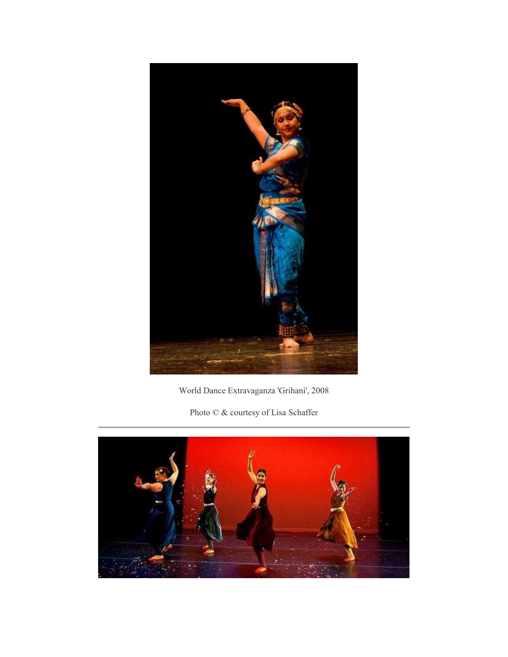

World Dance Extravaganza 'Grihani', 2008

Photo $\mathbb{O}$  & courtesy of Lisa Schaffer

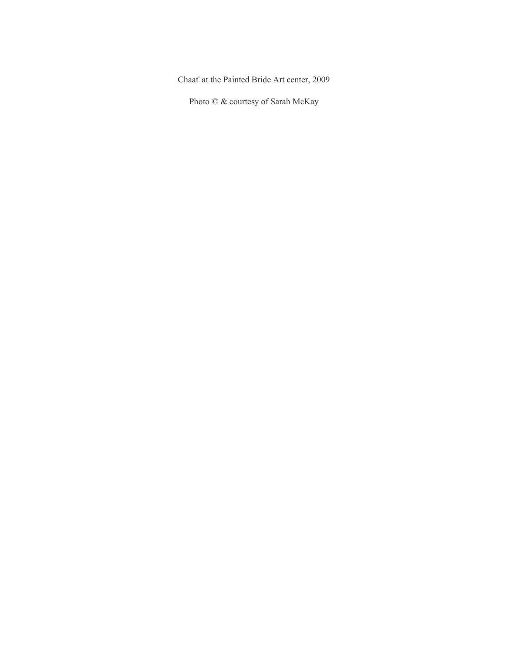Chaat' at the Painted Bride Art center, 2009

Photo © & courtesy of Sarah McKay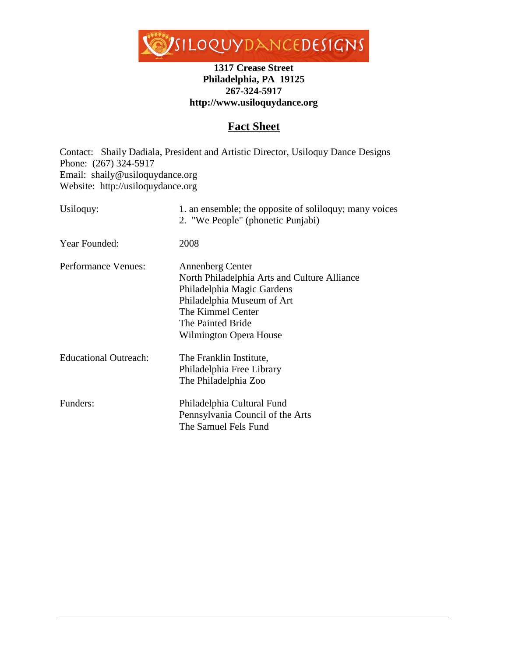

## **1317 Crease Street Philadelphia, PA 19125 267-324-5917 http://www.usiloquydance.org**

# **Fact Sheet**

Contact: Shaily Dadiala, President and Artistic Director, Usiloquy Dance Designs Phone: (267) 324-5917 Email: shaily@usiloquydance.org Website: http://usiloquydance.org

| Usiloguy:                    | 1. an ensemble; the opposite of soliloguy; many voices<br>2. "We People" (phonetic Punjabi)                                                                                                             |
|------------------------------|---------------------------------------------------------------------------------------------------------------------------------------------------------------------------------------------------------|
| Year Founded:                | 2008                                                                                                                                                                                                    |
| <b>Performance Venues:</b>   | <b>Annenberg Center</b><br>North Philadelphia Arts and Culture Alliance<br>Philadelphia Magic Gardens<br>Philadelphia Museum of Art<br>The Kimmel Center<br>The Painted Bride<br>Wilmington Opera House |
| <b>Educational Outreach:</b> | The Franklin Institute,<br>Philadelphia Free Library<br>The Philadelphia Zoo                                                                                                                            |
| Funders:                     | Philadelphia Cultural Fund<br>Pennsylvania Council of the Arts<br>The Samuel Fels Fund                                                                                                                  |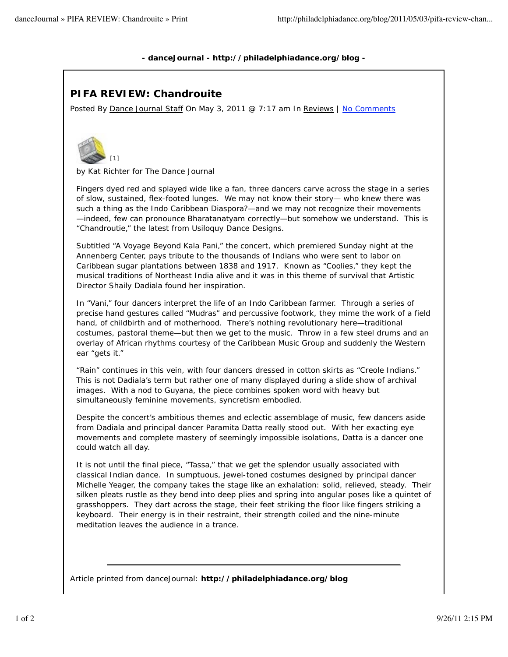### **- danceJournal - http://philadelphiadance.org/blog -**

# **PIFA REVIEW: Chandrouite**

Posted By Dance Journal Staff On May 3, 2011 @ 7:17 am In Reviews | No Comments



*by Kat Richter for The Dance Journal*

Fingers dyed red and splayed wide like a fan, three dancers carve across the stage in a series of slow, sustained, flex-footed lunges. We may not know their story— who knew there was such a thing as the Indo Caribbean Diaspora?—and we may not recognize their movements —indeed, few can *pronounce* Bharatanatyam correctly—but somehow we understand. This is "Chandroutie," the latest from Usiloquy Dance Designs.

Subtitled "A Voyage Beyond Kala Pani," the concert, which premiered Sunday night at the Annenberg Center, pays tribute to the thousands of Indians who were sent to labor on Caribbean sugar plantations between 1838 and 1917. Known as "Coolies," they kept the musical traditions of Northeast India alive and it was in this theme of survival that Artistic Director Shaily Dadiala found her inspiration.

In "Vani," four dancers interpret the life of an Indo Caribbean farmer. Through a series of precise hand gestures called "Mudras" and percussive footwork, they mime the work of a field hand, of childbirth and of motherhood. There's nothing revolutionary here—traditional costumes, pastoral theme—but then we get to the music. Throw in a few steel drums and an overlay of African rhythms courtesy of the Caribbean Music Group and suddenly the Western ear "gets it."

"Rain" continues in this vein, with four dancers dressed in cotton skirts as "Creole Indians." This is not Dadiala's term but rather one of many displayed during a slide show of archival images. With a nod to Guyana, the piece combines spoken word with heavy but simultaneously feminine movements, syncretism embodied.

Despite the concert's ambitious themes and eclectic assemblage of music, few dancers aside from Dadiala and principal dancer Paramita Datta really stood out. With her exacting eye movements and complete mastery of seemingly impossible isolations, Datta is a dancer one could watch all day.

It is not until the final piece, "Tassa," that we get the splendor usually associated with classical Indian dance. In sumptuous, jewel-toned costumes designed by principal dancer Michelle Yeager, the company takes the stage like an exhalation: solid, relieved, steady. Their silken pleats rustle as they bend into deep plies and spring into angular poses like a quintet of grasshoppers. They dart across the stage, their feet striking the floor like fingers striking a keyboard. Their energy is in their restraint, their strength coiled and the nine-minute meditation leaves the audience in a trance.

Article printed from danceJournal: **http://philadelphiadance.org/blog**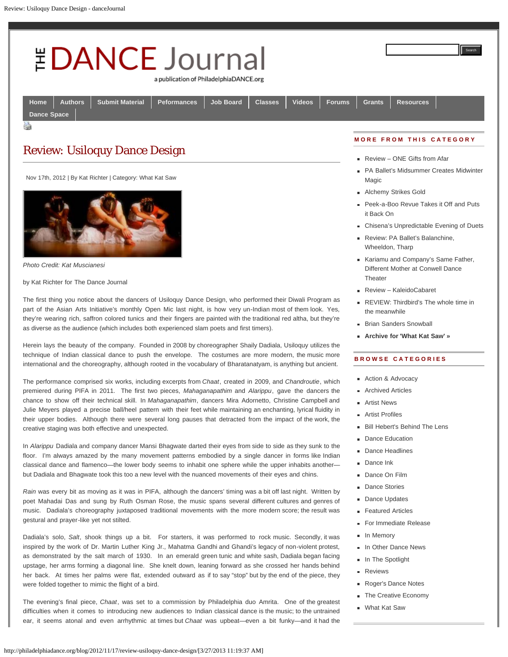# <span id="page-9-0"></span>*EDANCE Journal* a publication of PhiladelphiaDANCE.org

| Home               | Authors   Submit Material   Peformances | Job Board |  | Classes   Videos   Forums | Grants | <b>Resources</b> |  |
|--------------------|-----------------------------------------|-----------|--|---------------------------|--------|------------------|--|
|                    |                                         |           |  |                           |        |                  |  |
| <b>Dance Space</b> |                                         |           |  |                           |        |                  |  |
| <b>Rail</b>        |                                         |           |  |                           |        |                  |  |

# Review: Usiloquy Dance Design

Nov 17th, 2012 | By [Kat Richter](http://philadelphiadance.org/blog/author/kat-richter/) | Category: [What Kat Saw](http://philadelphiadance.org/blog/category/kat/)



*Photo Credit: Kat Muscianesi*

by Kat Richter for The Dance Journal

The first thing you notice about the dancers of Usiloquy Dance Design, who performed their Diwali Program as part of the Asian Arts Initiative's monthly Open Mic last night, is how very un-Indian most of them look. Yes, they're wearing rich, saffron colored tunics and their fingers are painted with the traditional red altha, but they're as diverse as the audience (which includes both experienced slam poets and first timers).

Herein lays the beauty of the company. Founded in 2008 by choreographer Shaily Dadiala, Usiloquy utilizes the technique of Indian classical dance to push the envelope. The costumes are more modern, the music more international and the choreography, although rooted in the vocabulary of Bharatanatyam, is anything but ancient.

The performance comprised six works, including excerpts from *Chaat*, created in 2009, and *Chandroutie*, which premiered during PIFA in 2011. The first two pieces, *Mahaganapathim* and *Alarippu*, gave the dancers the chance to show off their technical skill. In *Mahaganapathim*, dancers Mira Adornetto, Christine Campbell and Julie Meyers played a precise ball/heel pattern with their feet while maintaining an enchanting, lyrical fluidity in their upper bodies. Although there were several long pauses that detracted from the impact of the work, the creative staging was both effective and unexpected.

In *Alarippu* Dadiala and company dancer Mansi Bhagwate darted their eyes from side to side as they sunk to the floor. I'm always amazed by the many movement patterns embodied by a single dancer in forms like Indian classical dance and flamenco—the lower body seems to inhabit one sphere while the upper inhabits another but Dadiala and Bhagwate took this too a new level with the nuanced movements of their eyes and chins.

*Rain* was every bit as moving as it was in PIFA, although the dancers' timing was a bit off last night. Written by poet Mahadai Das and sung by Ruth Osman Rose, the music spans several different cultures and genres of music. Dadiala's choreography juxtaposed traditional movements with the more modern score; the result was gestural and prayer-like yet not stilted.

Dadiala's solo, *Salt*, shook things up a bit. For starters, it was performed to rock music. Secondly, it was inspired by the work of Dr. Martin Luther King Jr., Mahatma Gandhi and Ghandi's legacy of non-violent protest, as demonstrated by the salt march of 1930. In an emerald green tunic and white sash, Dadiala began facing upstage, her arms forming a diagonal line. She knelt down, leaning forward as she crossed her hands behind her back. At times her palms were flat, extended outward as if to say "stop" but by the end of the piece, they were folded together to mimic the flight of a bird.

The evening's final piece, *Chaat*, was set to a commission by Philadelphia duo Amrita. One of the greatest difficulties when it comes to introducing new audiences to Indian classical dance is the music; to the untrained ear, it seems atonal and even arrhythmic at times but *Chaat* was upbeat—even a bit funky—and it had the

### **MORE FROM THIS CATEGORY**

Search

- [Review ONE Gifts from Afar](http://philadelphiadance.org/blog/2013/03/26/review-one-gifts-from-afar/)
- [PA Ballet's Midsummer Creates Midwinter](http://philadelphiadance.org/blog/2013/03/08/pa-ballets-midsummer-creates-midwinter-magic/) [Magic](http://philadelphiadance.org/blog/2013/03/08/pa-ballets-midsummer-creates-midwinter-magic/)
- **[Alchemy Strikes Gold](http://philadelphiadance.org/blog/2013/03/03/alchemy-strikes-gold/)**
- [Peek-a-Boo Revue Takes it Off and Puts](http://philadelphiadance.org/blog/2013/02/18/peek-a-boo-revue-takes-it-off-and-puts-it-back-on/) [it Back On](http://philadelphiadance.org/blog/2013/02/18/peek-a-boo-revue-takes-it-off-and-puts-it-back-on/)
- **[Chisena's Unpredictable Evening of Duets](http://philadelphiadance.org/blog/2013/02/10/chisenas-unpredictable-evening-of-duets/)**
- [Review: PA Ballet's Balanchine,](http://philadelphiadance.org/blog/2013/02/09/review-pa-ballets-balanchine-wheeldon-tharp/) [Wheeldon, Tharp](http://philadelphiadance.org/blog/2013/02/09/review-pa-ballets-balanchine-wheeldon-tharp/)
- [Kariamu and Company's Same Father,](http://philadelphiadance.org/blog/2013/02/04/kariamu-and-companys-same-father-different-mother-at-conwell-dance-theater/) [Different Mother at Conwell Dance](http://philadelphiadance.org/blog/2013/02/04/kariamu-and-companys-same-father-different-mother-at-conwell-dance-theater/) **[Theater](http://philadelphiadance.org/blog/2013/02/04/kariamu-and-companys-same-father-different-mother-at-conwell-dance-theater/)**
- [Review KaleidoCabaret](http://philadelphiadance.org/blog/2013/01/28/review-kaleidocabaret/)
- **[REVIEW: Thirdbird's The whole time in](http://philadelphiadance.org/blog/2013/01/26/review-thirdbirds-the-whole-time-in-the-meanwhile/)** [the meanwhile](http://philadelphiadance.org/blog/2013/01/26/review-thirdbirds-the-whole-time-in-the-meanwhile/)
- **[Brian Sanders Snowball](http://philadelphiadance.org/blog/2013/01/23/brian-sanders-snowball/)**
- **[Archive for 'What Kat Saw' »](http://philadelphiadance.org/blog/category/kat/)**

### **BROWSE CATEGORIES**

- [Action & Advocacy](http://philadelphiadance.org/blog/category/dance-issues/)
- **[Archived Articles](http://philadelphiadance.org/blog/category/briefs/)**
- **[Artist News](http://philadelphiadance.org/blog/category/artist-news/)**
- **[Artist Profiles](http://philadelphiadance.org/blog/category/profiles/)**
- **[Bill Hebert's Behind The Lens](http://philadelphiadance.org/blog/category/hebert/)**
- [Dance Education](http://philadelphiadance.org/blog/category/education/)
- [Dance Headlines](http://philadelphiadance.org/blog/category/inthenews/)
- [Dance Ink](http://philadelphiadance.org/blog/category/whittington/)
- [Dance On Film](http://philadelphiadance.org/blog/category/photos/)
- [Dance Stories](http://philadelphiadance.org/blog/category/dance-stories/)
- [Dance Updates](http://philadelphiadance.org/blog/category/updates/)
- **[Featured Articles](http://philadelphiadance.org/blog/category/features/)**
- **[For Immediate Release](http://philadelphiadance.org/blog/category/press-releases/)**
- [In Memory](http://philadelphiadance.org/blog/category/inmemory/)
- [In Other Dance News](http://philadelphiadance.org/blog/category/newsbriefs/)
- [In The Spotlight](http://philadelphiadance.org/blog/category/spotlight/)
- [Reviews](http://philadelphiadance.org/blog/category/dance-reviews/)
- [Roger's Dance Notes](http://philadelphiadance.org/blog/category/rogerlee/)
- [The Creative Economy](http://philadelphiadance.org/blog/category/the-creative-economy/)
- [What Kat Saw](http://philadelphiadance.org/blog/category/kat/)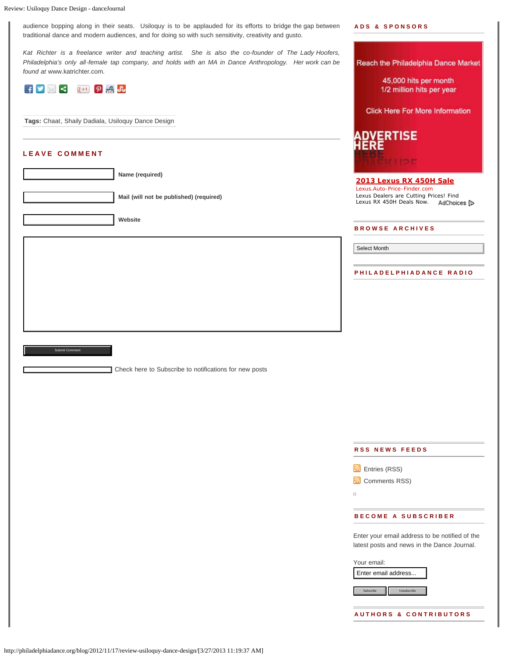audience bopping along in their seats. Usiloquy is to be applauded for its efforts to bridge the gap between traditional dance and modern audiences, and for doing so with such sensitivity, creativity and gusto.

*Kat Richter is a freelance writer and teaching artist. She is also the co-founder of The Lady Hoofers, Philadelphia's only all-female tap company, and holds with an MA in Dance Anthropology. Her work can be found at* [www.katrichter.com](http://www.katrichter.com/)*.*



**Tags:** [Chaat](http://philadelphiadance.org/blog/tag/chaat/), [Shaily Dadiala,](http://philadelphiadance.org/blog/tag/shaily-dadiala/) [Usiloquy Dance Design](http://philadelphiadance.org/blog/tag/usiloquy-dance-design/)

### **LEAVE COMMENT**

**Name (required) Mail (will not be published) (required)**

**Website**

**Check here to Subscribe to notifications for new posts** 

**ADS & SPONSORS**

Reach the Philadelphia Dance Market

45,000 hits per month 1/2 million hits per year

**Click Here For More Information** 



**[2013 Lexus RX 450H Sale](http://www.googleadservices.com/pagead/aclk?sa=L&ai=Cib2K4g1TUZedF5TZ0AH8-4DAB7Gw8NgCoZbEqE65l8-EaBABINHIwhJQw_WghwVgyfamjNCk5A-gAd__s-MDyAEBqAMByAPTBKoEqAFP0DGyKN-xWxY7L7HiQ2Qbpw4PzLLND6CDQqMfdrhE7o2MAZDR8IJenG4VbrvrxlL_pEtAqLG6hLcshDZJq_DLpD3e9_Ca_I3GNE87vPOTgptvX1ST4NZo-78AvlruCXjVId59qACBw5bzPrSRIrD2dYQMtJQTSd092_ykU_vDhlFeFzRdbm70ierzieC5Z8Rj-IAeF185WgExKqHl6ARX1IsB6K-FkIGIBgGAB4mAzBw&num=1&cid=5Ggt7Q130yaeUnLb8GoRBt0y&sig=AOD64_0tt7fq4SUoUmDdPLQaVDzQZQxEbQ&client=ca-pub-2483849304403436&adurl=http://www.auto-price-finder.com/welcome%3Fid%3D50944261%26admake%3Dlexus%26admodel%3Drx%2B450h%26creativeid%3D20981292849)** Lexus.Auto-Price-Finder.com Lexus Dealers are Cutting Prices! Find Lexus RX 450H Deals Now. AdChoices [⊳

### **BROWSE ARCHIVES**

Select Month

**PHILADELPHIADANCE RADIO** Select Month<br>PHILADE<br>Submit Comment

**RSS NEWS FEEDS**

[Entries \(RSS\)](http://philadelphiadance.org/blog/feed/)

[Comments RSS\)](http://philadelphiadance.org/blog/comments/feed/)

 $\Box$ 

### **BECOME A SUBSCRIBER**

Enter your email address to be notified of the latest posts and news in the Dance Journal.

| Your email:         |                    |  |
|---------------------|--------------------|--|
| Enter email address |                    |  |
|                     |                    |  |
| Subscribe           | <b>Unsubscribe</b> |  |
|                     |                    |  |

**AUTHORS & CONTRIBUTORS**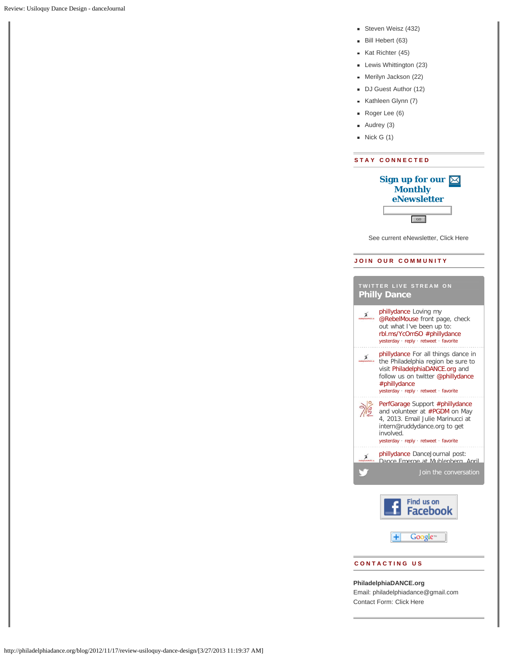- [Steven Weisz](http://philadelphiadance.org/blog/author/admin/) (432)
- [Bill Hebert](http://philadelphiadance.org/blog/author/billhebert/) (63)
- [Kat Richter](http://philadelphiadance.org/blog/author/kat-richter/) (45)
- **[Lewis Whittington](http://philadelphiadance.org/blog/author/whittington/) (23)**
- [Merilyn Jackson](http://philadelphiadance.org/blog/author/merilynjackson/) (22)
- [DJ Guest Author](http://philadelphiadance.org/blog/author/dj-guest-author/) (12)
- [Kathleen Glynn](http://philadelphiadance.org/blog/author/glynn/) (7)
- [Roger Lee](http://philadelphiadance.org/blog/author/roger-lee/) (6)
- [Audrey](http://philadelphiadance.org/blog/author/audrey/) (3)
- $\blacksquare$  [Nick G](http://philadelphiadance.org/blog/author/nick-g/) (1)

### **STAY CONNECTED**

| Sign up for our $[$<br><b>Monthly</b><br>eNewsletter |  |
|------------------------------------------------------|--|
|                                                      |  |
| GO                                                   |  |

See current eNewsletter, [Click Here](http://www.philadelphiadance.org/newsletter.html)

## **JOIN OUR COMMUNITY [TWITTER LIVE STREAM ON](https://twitter.com/search/%23phillydance) [Philly Dance](https://twitter.com/search/%23phillydance)** [phillydance](https://twitter.com/intent/user?screen_name=phillydance) Loving my  $\chi$  philippine Loving  $\eta$ <br> **CREBELMOUSE** front page, check out what I've been up to: [rbl.ms/YcOmSO](http://t.co/928gP4A4mH) [#phillydance](http://twitter.com/search?q=%23phillydance) [yesterday](https://twitter.com/phillydance/status/316565546839732225) · [reply](https://twitter.com/intent/tweet?in_reply_to=316565546839732225) · [retweet](https://twitter.com/intent/retweet?tweet_id=316565546839732225) · [favorite](https://twitter.com/intent/favorite?tweet_id=316565546839732225) [phillydance](https://twitter.com/intent/user?screen_name=phillydance) For all things dance in the Philadelphia region be sure to visit [PhiladelphiaDANCE.org](http://t.co/imFF8ObhYY) and follow us on twitter [@phillydance](http://twitter.com/phillydance) [#phillydance](http://twitter.com/search?q=%23phillydance) [yesterday](https://twitter.com/phillydance/status/316566358664024064) · [reply](https://twitter.com/intent/tweet?in_reply_to=316566358664024064) · [retweet](https://twitter.com/intent/retweet?tweet_id=316566358664024064) · [favorite](https://twitter.com/intent/favorite?tweet_id=316566358664024064) **[PerfGarage](https://twitter.com/intent/user?screen_name=PerfGarage) Support [#phillydance](http://twitter.com/search?q=%23phillydance)**  $\frac{2}{\sqrt{2}}$ and volunteer at [#PGDM](http://twitter.com/search?q=%23PGDM) on May 4, 2013. Email Julie Marinucci at intern@ruddydance.org to get involved. [yesterday](https://twitter.com/PerfGarage/status/316566470186385408) · [reply](https://twitter.com/intent/tweet?in_reply_to=316566470186385408) · [retweet](https://twitter.com/intent/retweet?tweet_id=316566470186385408) · [favorite](https://twitter.com/intent/favorite?tweet_id=316566470186385408) [phillydance](https://twitter.com/intent/user?screen_name=phillydance) DanceJournal post:  $\cancel{\pi}$ Dance Emerge at Muhlenberg, April Find us on **Facebook** Google<sup>16</sup> Œ

### **CONTACTING US**

**PhiladelphiaDANCE.org** Email: philadelphiadance@gmail.com Contact Form: [Click Here](http://www.philadelphiadance.org/contact/)